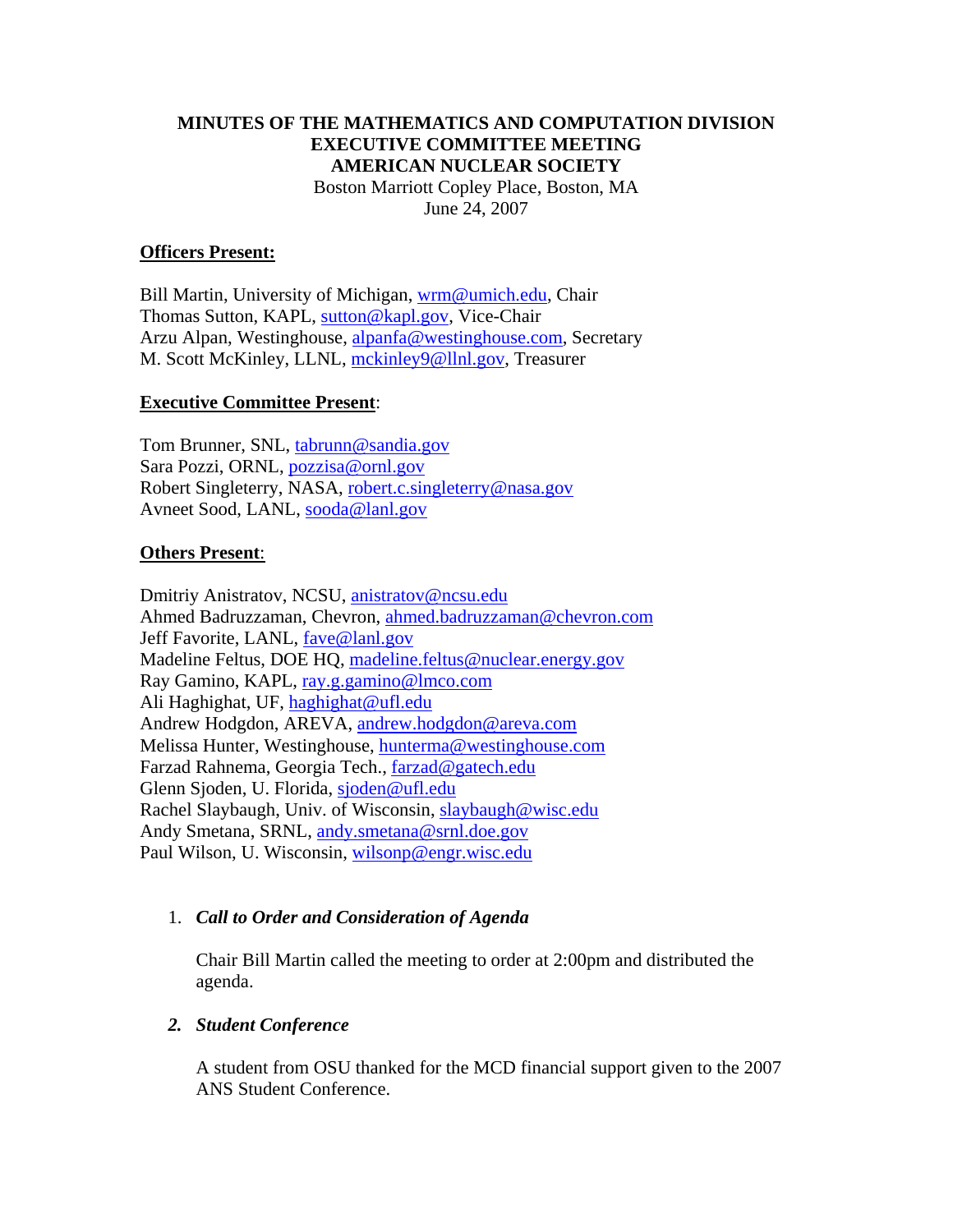# **MINUTES OF THE MATHEMATICS AND COMPUTATION DIVISION EXECUTIVE COMMITTEE MEETING AMERICAN NUCLEAR SOCIETY**  Boston Marriott Copley Place, Boston, MA June 24, 2007

## **Officers Present:**

Bill Martin, University of Michigan, wrm@umich.edu, Chair Thomas Sutton, KAPL, sutton@kapl.gov, Vice-Chair Arzu Alpan, Westinghouse, alpanfa@westinghouse.com, Secretary M. Scott McKinley, LLNL, mckinley9@llnl.gov, Treasurer

#### **Executive Committee Present**:

Tom Brunner, SNL, tabrunn@sandia.gov Sara Pozzi, ORNL, pozzisa@ornl.gov Robert Singleterry, NASA, robert.c.singleterry@nasa.gov Avneet Sood, LANL, sooda@lanl.gov

#### **Others Present**:

Dmitriy Anistratov, NCSU, anistratov@ncsu.edu Ahmed Badruzzaman, Chevron, ahmed.badruzzaman@chevron.com Jeff Favorite, LANL, fave@lanl.gov Madeline Feltus, DOE HQ, madeline.feltus@nuclear.energy.gov Ray Gamino, KAPL, ray.g.gamino@lmco.com Ali Haghighat, UF, haghighat@ufl.edu Andrew Hodgdon, AREVA, andrew.hodgdon@areva.com Melissa Hunter, Westinghouse, hunterma@westinghouse.com Farzad Rahnema, Georgia Tech., farzad@gatech.edu Glenn Sjoden, U. Florida, sjoden@ufl.edu Rachel Slaybaugh, Univ. of Wisconsin, slaybaugh@wisc.edu Andy Smetana, SRNL, andy.smetana@srnl.doe.gov Paul Wilson, U. Wisconsin, wilsonp@engr.wisc.edu

#### 1. *Call to Order and Consideration of Agenda*

Chair Bill Martin called the meeting to order at 2:00pm and distributed the agenda.

#### *2. Student Conference*

A student from OSU thanked for the MCD financial support given to the 2007 ANS Student Conference.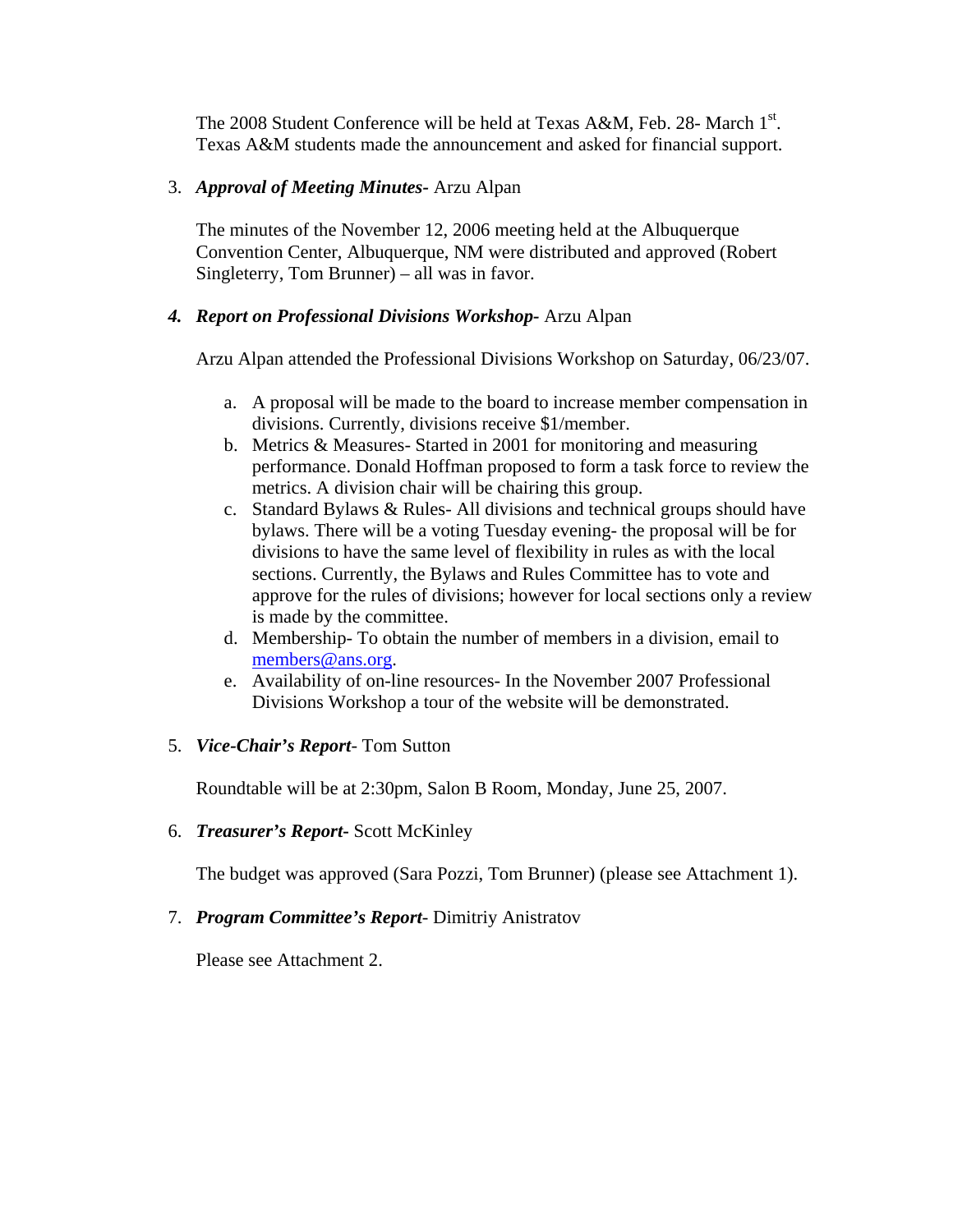The 2008 Student Conference will be held at Texas A&M, Feb. 28- March 1<sup>st</sup>. Texas A&M students made the announcement and asked for financial support.

## 3. *Approval of Meeting Minutes-* Arzu Alpan

The minutes of the November 12, 2006 meeting held at the Albuquerque Convention Center, Albuquerque, NM were distributed and approved (Robert Singleterry, Tom Brunner) – all was in favor.

## *4. Report on Professional Divisions Workshop-* Arzu Alpan

Arzu Alpan attended the Professional Divisions Workshop on Saturday, 06/23/07.

- a. A proposal will be made to the board to increase member compensation in divisions. Currently, divisions receive \$1/member.
- b. Metrics & Measures- Started in 2001 for monitoring and measuring performance. Donald Hoffman proposed to form a task force to review the metrics. A division chair will be chairing this group.
- c. Standard Bylaws & Rules- All divisions and technical groups should have bylaws. There will be a voting Tuesday evening- the proposal will be for divisions to have the same level of flexibility in rules as with the local sections. Currently, the Bylaws and Rules Committee has to vote and approve for the rules of divisions; however for local sections only a review is made by the committee.
- d. Membership- To obtain the number of members in a division, email to members@ans.org.
- e. Availability of on-line resources- In the November 2007 Professional Divisions Workshop a tour of the website will be demonstrated.
- 5. *Vice-Chair's Report* Tom Sutton

Roundtable will be at 2:30pm, Salon B Room, Monday, June 25, 2007.

6. *Treasurer's Report***-** Scott McKinley

The budget was approved (Sara Pozzi, Tom Brunner) (please see Attachment 1).

7. *Program Committee's Report*- Dimitriy Anistratov

Please see Attachment 2.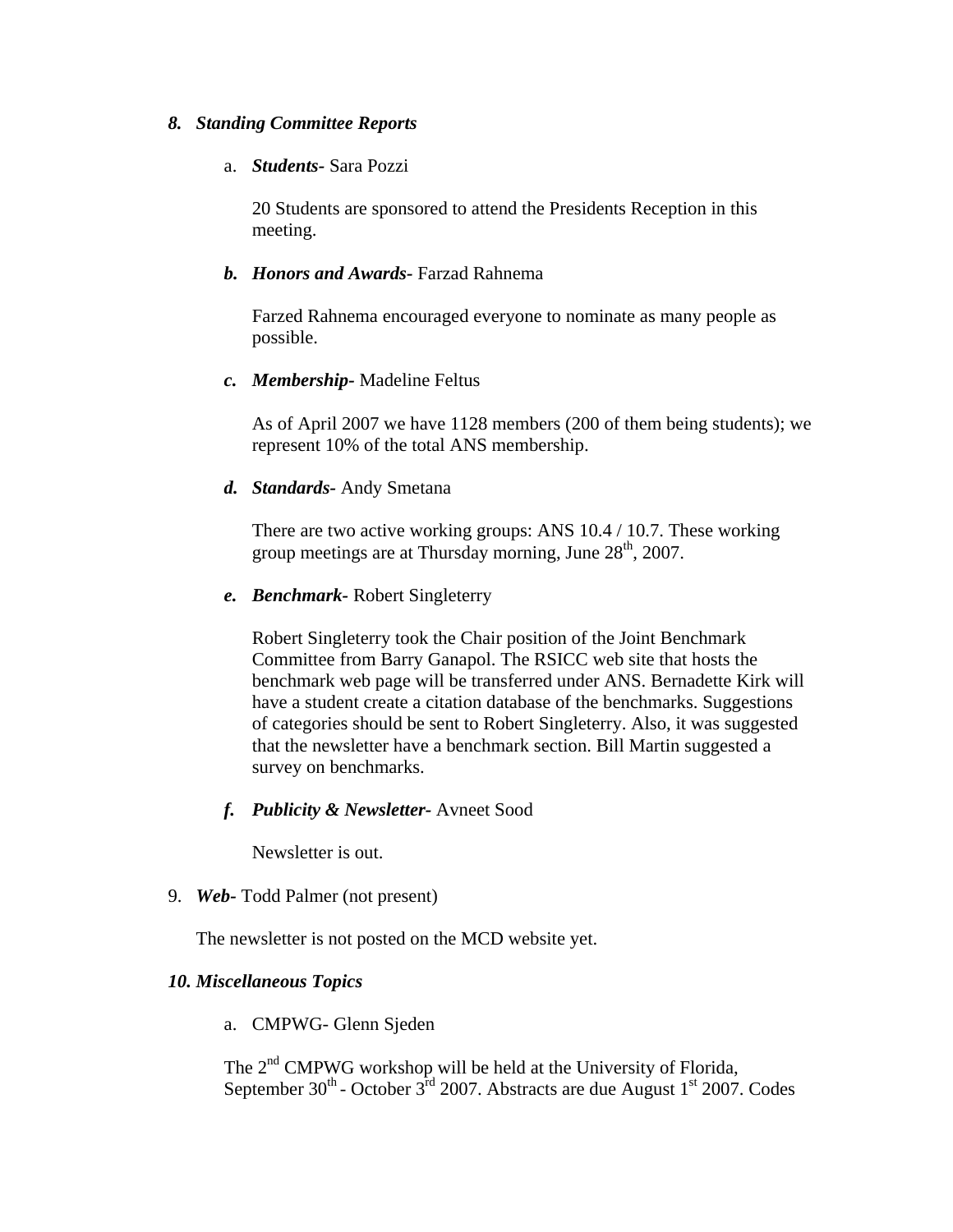#### *8. Standing Committee Reports*

#### a. *Students-* Sara Pozzi

20 Students are sponsored to attend the Presidents Reception in this meeting.

#### *b. Honors and Awards-* Farzad Rahnema

Farzed Rahnema encouraged everyone to nominate as many people as possible.

#### *c. Membership-* Madeline Feltus

As of April 2007 we have 1128 members (200 of them being students); we represent 10% of the total ANS membership.

#### *d. Standards-* Andy Smetana

There are two active working groups: ANS 10.4 / 10.7. These working group meetings are at Thursday morning, June  $28<sup>th</sup>$ , 2007.

#### *e. Benchmark-* Robert Singleterry

Robert Singleterry took the Chair position of the Joint Benchmark Committee from Barry Ganapol. The RSICC web site that hosts the benchmark web page will be transferred under ANS. Bernadette Kirk will have a student create a citation database of the benchmarks. Suggestions of categories should be sent to Robert Singleterry. Also, it was suggested that the newsletter have a benchmark section. Bill Martin suggested a survey on benchmarks.

#### *f. Publicity & Newsletter-* Avneet Sood

Newsletter is out.

9. *Web-* Todd Palmer (not present)

The newsletter is not posted on the MCD website yet.

#### *10. Miscellaneous Topics*

a. CMPWG- Glenn Sjeden

The 2<sup>nd</sup> CMPWG workshop will be held at the University of Florida, September  $30^{th}$  - October  $3^{rd}$  2007. Abstracts are due August 1<sup>st</sup> 2007. Codes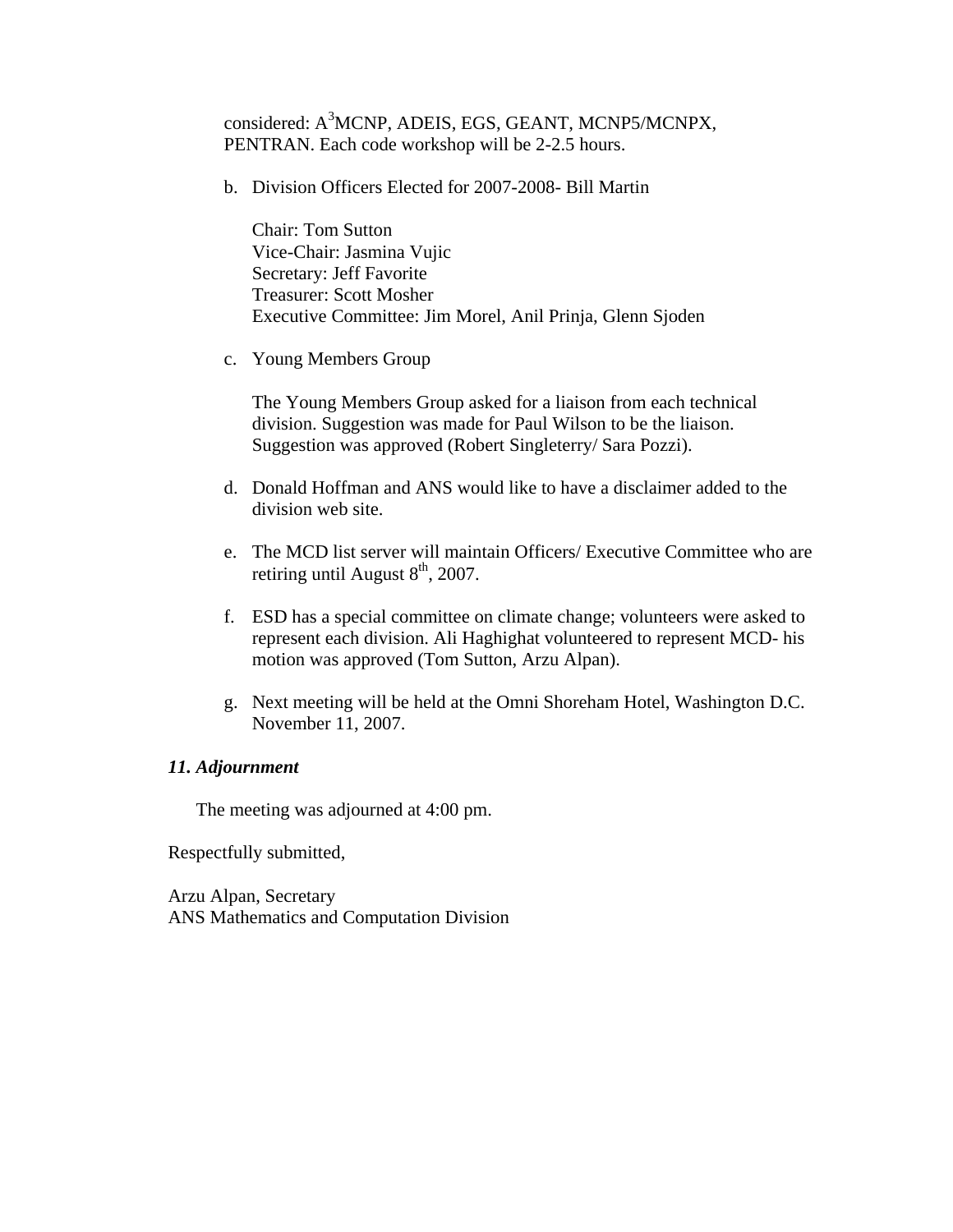considered: A<sup>3</sup>MCNP, ADEIS, EGS, GEANT, MCNP5/MCNPX, PENTRAN. Each code workshop will be 2-2.5 hours.

b. Division Officers Elected for 2007-2008- Bill Martin

Chair: Tom Sutton Vice-Chair: Jasmina Vujic Secretary: Jeff Favorite Treasurer: Scott Mosher Executive Committee: Jim Morel, Anil Prinja, Glenn Sjoden

c. Young Members Group

The Young Members Group asked for a liaison from each technical division. Suggestion was made for Paul Wilson to be the liaison. Suggestion was approved (Robert Singleterry/ Sara Pozzi).

- d. Donald Hoffman and ANS would like to have a disclaimer added to the division web site.
- e. The MCD list server will maintain Officers/ Executive Committee who are retiring until August  $8<sup>th</sup>$ , 2007.
- f. ESD has a special committee on climate change; volunteers were asked to represent each division. Ali Haghighat volunteered to represent MCD- his motion was approved (Tom Sutton, Arzu Alpan).
- g. Next meeting will be held at the Omni Shoreham Hotel, Washington D.C. November 11, 2007.

#### *11. Adjournment*

The meeting was adjourned at 4:00 pm.

Respectfully submitted,

Arzu Alpan, Secretary ANS Mathematics and Computation Division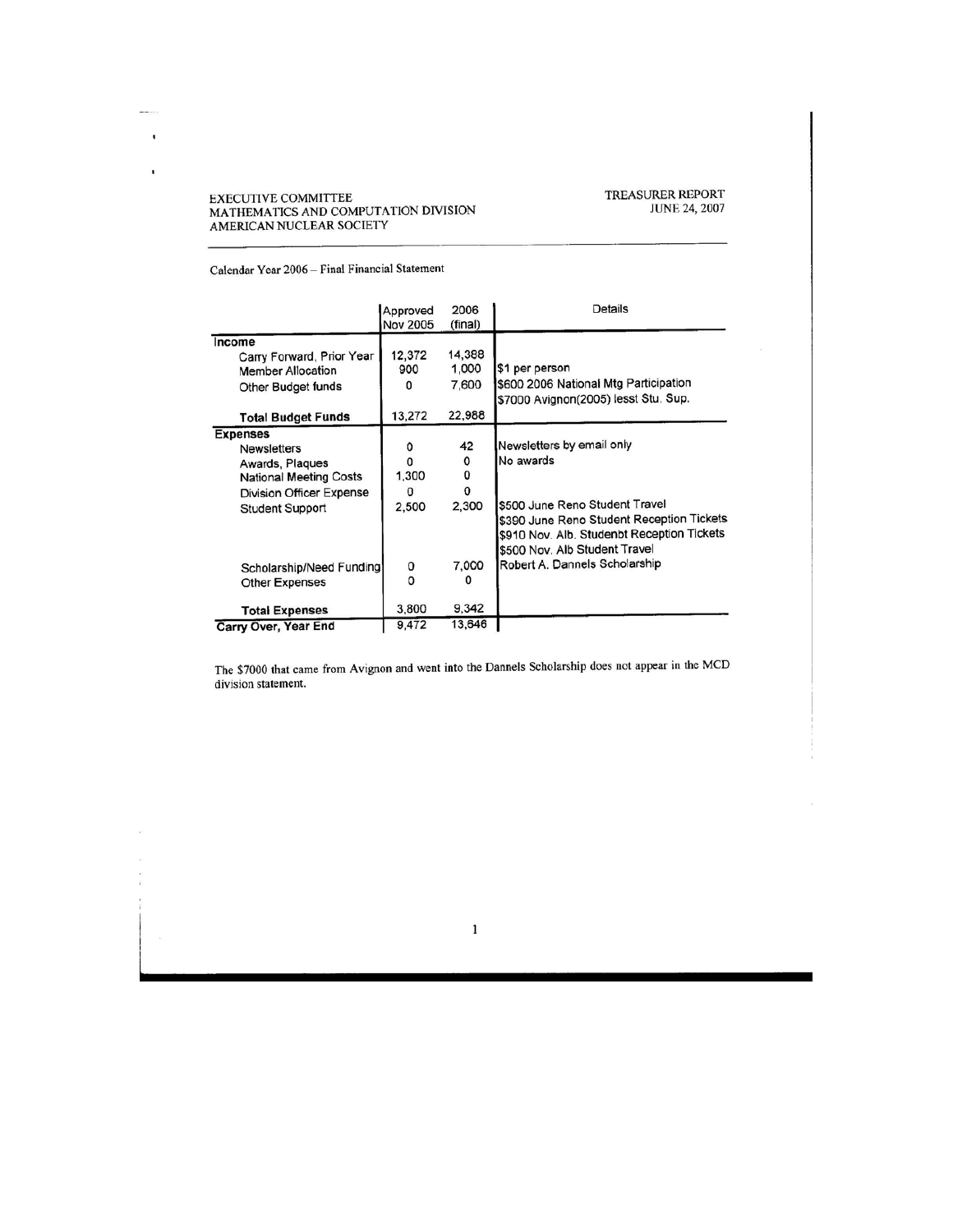# TREASURER REPORT<br>JUNE 24, 2007

Calendar Year 2006 - Final Financial Statement

EXECUTIVE COMMITTEE<br>MATHEMATICS AND COMPUTATION DIVISION<br>AMERICAN NUCLEAR SOCIETY

man en  $\bar{\rm t}$ 

I,

|                               | Approved<br><b>Nov 2005</b> | 2006<br>(final) | <b>Details</b>                             |
|-------------------------------|-----------------------------|-----------------|--------------------------------------------|
| Income                        |                             |                 |                                            |
| Carry Forward, Prior Year     | 12,372                      | 14,388          |                                            |
| <b>Member Allocation</b>      | 900                         | 1,000           | \$1 per person                             |
| Other Budget funds            | O                           | 7,600           | \$600 2006 National Mtg Participation      |
|                               |                             |                 | \$7000 Avignon(2005) lesst Stu. Sup.       |
| <b>Total Budget Funds</b>     | 13,272                      | 22,988          |                                            |
| <b>Expenses</b>               |                             |                 |                                            |
| <b>Newsletters</b>            | o                           | 42              | Newsletters by email only                  |
| Awards, Plaques               | O                           | 0               | No awards                                  |
| <b>National Meeting Costs</b> | 1,300                       | 0               |                                            |
| Division Officer Expense      | 0                           | $\Omega$        |                                            |
| <b>Student Support</b>        | 2,500                       | 2.300           | \$500 June Reno Student Travel             |
|                               |                             |                 | \$390 June Reno Student Reception Tickets  |
|                               |                             |                 | \$910 Nov. Alb. Studenbt Reception Tickets |
|                               |                             |                 | \$500 Nov. Alb Student Travel              |
| Scholarship/Need Funding      | 0                           | 7.000           | Robert A. Dannels Scholarship              |
|                               | n                           |                 |                                            |
| <b>Other Expenses</b>         |                             |                 |                                            |
| <b>Total Expenses</b>         | 3,800                       | 9,342           |                                            |
| Carry Over, Year End          | 9,472                       | 13,646          |                                            |

The \$7000 that came from Avignon and went into the Dannels Scholarship does not appear in the MCD division statement.

×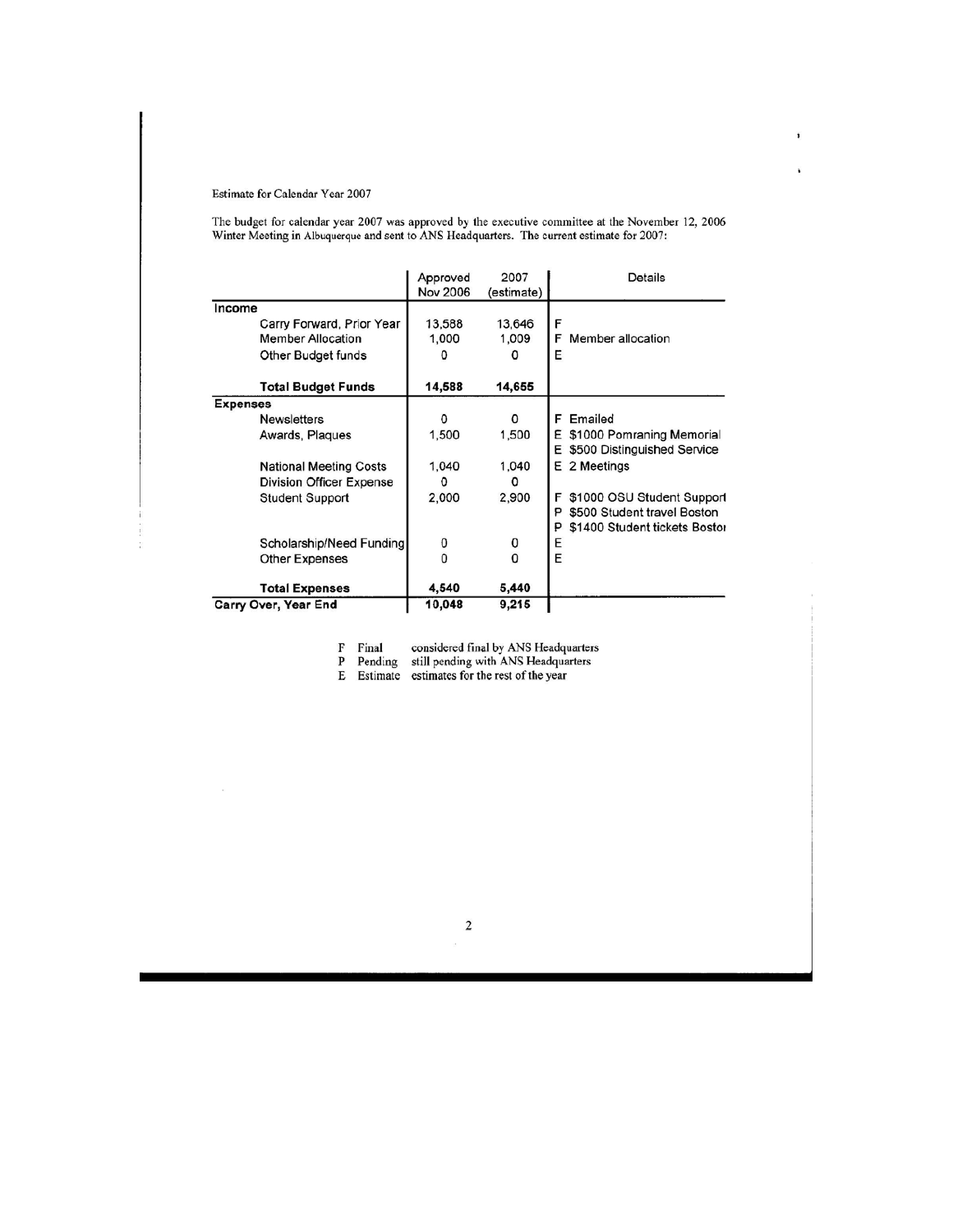#### Estimate for Calendar Year 2007

The budget for calendar year 2007 was approved by the executive committee at the November 12, 2006 Winter Meeting in Albuquerque and sent to ANS Headquarters. The current estimate for 2007:

,

¥

|                                                                                                                    | Approved<br><b>Nov 2006</b> | 2007<br>(estimate)             | Details                                                                                              |  |  |
|--------------------------------------------------------------------------------------------------------------------|-----------------------------|--------------------------------|------------------------------------------------------------------------------------------------------|--|--|
| Income<br>Carry Forward, Prior Year<br><b>Member Allocation</b><br>Other Budget funds<br><b>Total Budget Funds</b> | 13,588<br>1,000<br>14,588   | 13,646<br>1,009<br>0<br>14,655 | F<br>F<br>Member allocation<br>E                                                                     |  |  |
| <b>Expenses</b><br><b>Newsletters</b>                                                                              | o                           | $\Omega$                       | Emailed<br>F                                                                                         |  |  |
| Awards, Plaques                                                                                                    | 1,500                       | 1,500                          | \$1000 Pomraning Memorial<br>E.<br>E \$500 Distinguished Service                                     |  |  |
| <b>National Meeting Costs</b><br>Division Officer Expense                                                          | 1,040<br>0                  | 1,040<br>o                     | E 2 Meetings                                                                                         |  |  |
| <b>Student Support</b>                                                                                             | 2,000                       | 2,900                          | \$1000 OSU Student Support<br>F<br>\$500 Student travel Boston<br>P<br>\$1400 Student tickets Bostor |  |  |
| Scholarship/Need Funding                                                                                           | 0                           | 0<br>$\mathbf 0$               | Ε<br>E                                                                                               |  |  |
| <b>Other Expenses</b>                                                                                              |                             |                                |                                                                                                      |  |  |
| <b>Total Expenses</b>                                                                                              | 4,540                       | 5,440                          |                                                                                                      |  |  |
| Carry Over, Year End                                                                                               | 10,048                      | 9,215                          |                                                                                                      |  |  |

F Final considered final by ANS Headquarters<br>P Pending still pending with ANS Headquarters<br>E Estimate estimates for the rest of the year

 $\mathbf 2$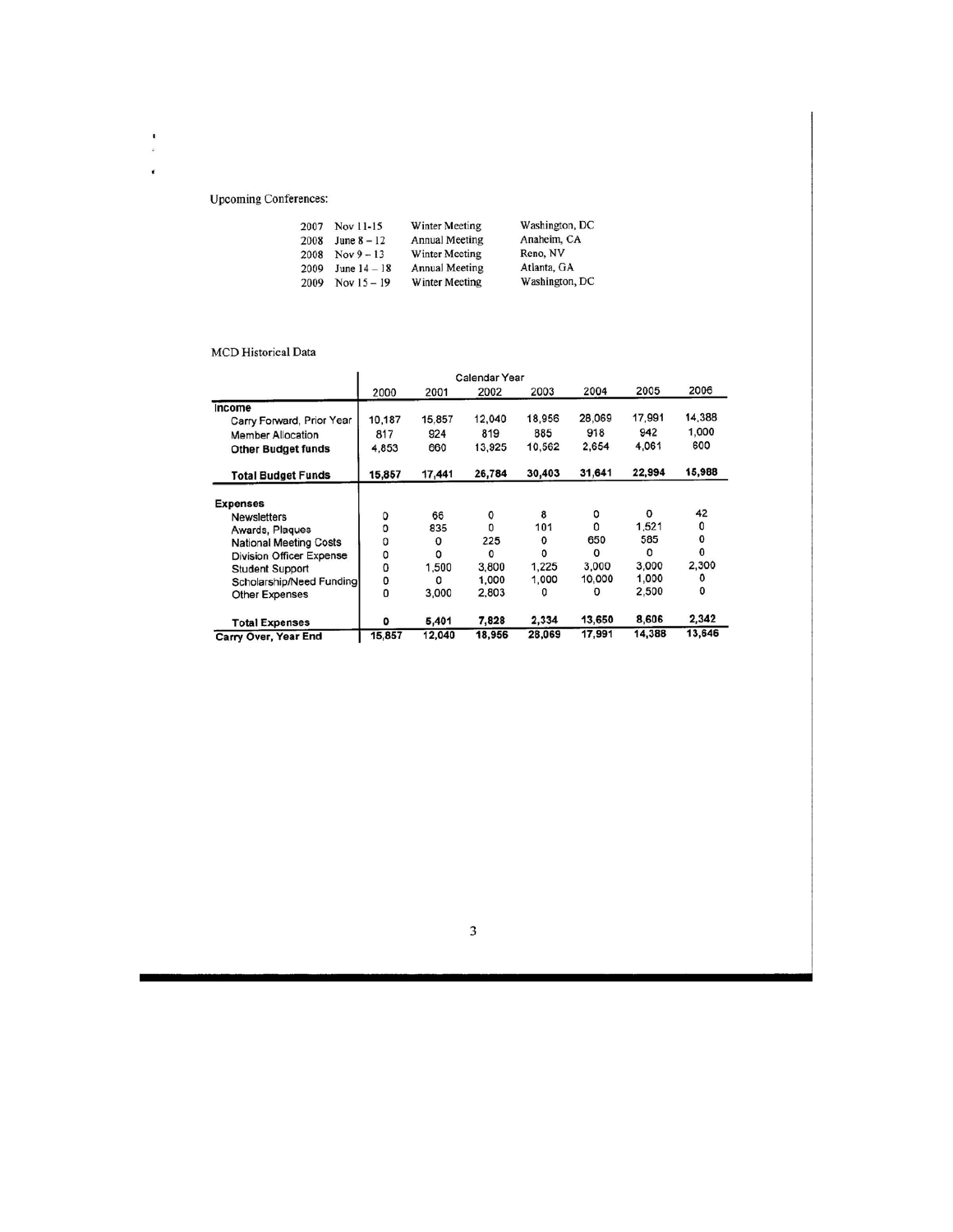#### **Upcoming Conferences:**

 $\frac{1}{\epsilon}$  $\overline{\phantom{a}}$ 

| 2007 | Nov 11-15      | Winter Meeting        | Washington, DC |  |  |
|------|----------------|-----------------------|----------------|--|--|
| 2008 | June $8 - 12$  | <b>Annual Meeting</b> | Anaheim, CA    |  |  |
| 2008 | $Nov 9 - 13$   | Winter Meeting        | Reno, NV       |  |  |
| 2009 | June $14 - 18$ | <b>Annual Meeting</b> | Atlanta, GA    |  |  |
| 2009 | Nov $15 - 19$  | Winter Meeting        | Washington, DC |  |  |

#### MCD Historical Data

|                                 | <b>Calendar Year</b> |        |        |        |          |        |        |
|---------------------------------|----------------------|--------|--------|--------|----------|--------|--------|
|                                 | 2000                 | 2001   | 2002   | 2003   | 2004     | 2005   | 2006   |
| Income                          |                      |        |        |        |          |        |        |
| Carry Forward, Prior Year       | 10,187               | 15,857 | 12,040 | 18,956 | 28,069   | 17,991 | 14,388 |
| <b>Member Allocation</b>        | 817                  | 924    | 819    | 885    | 918      | 942    | 1,000  |
| <b>Other Budget funds</b>       | 4.853                | 660    | 13,925 | 10,562 | 2,654    | 4.061  | 600    |
| <b>Total Budget Funds</b>       | 15,857               | 17,441 | 26,784 | 30,403 | 31,641   | 22,994 | 15,988 |
| <b>Expenses</b>                 |                      |        |        |        |          |        |        |
| <b>Newsletters</b>              | 0                    | 66     | 0      | 8      | 0        | 0      | 42     |
| Awards, Plaques                 | 0                    | 835    | o      | 101    | 0        | 1,521  | 0      |
| <b>National Meeting Costs</b>   | 0                    | 0      | 225    | 0      | 650      | 585    | 0      |
| <b>Division Officer Expense</b> | 0                    | 0      | 0      | o      | $\Omega$ | 0      | 0      |
| <b>Student Support</b>          | 0                    | 1,500  | 3,800  | 1,225  | 3,000    | 3,000  | 2,300  |
| Scholarship/Need Funding        | 0                    | 0      | 1,000  | 1,000  | 10,000   | 1,000  | ٥      |
| Other Expenses                  | o                    | 3.000  | 2.803  | 0      | o        | 2,500  | 0      |
| <b>Total Expenses</b>           | $\mathbf o$          | 5,401  | 7,828  | 2,334  | 13,650   | 8,606  | 2,342  |
| Carry Over, Year End            | 15,857               | 12,040 | 18,956 | 28,069 | 17,991   | 14,388 | 13,646 |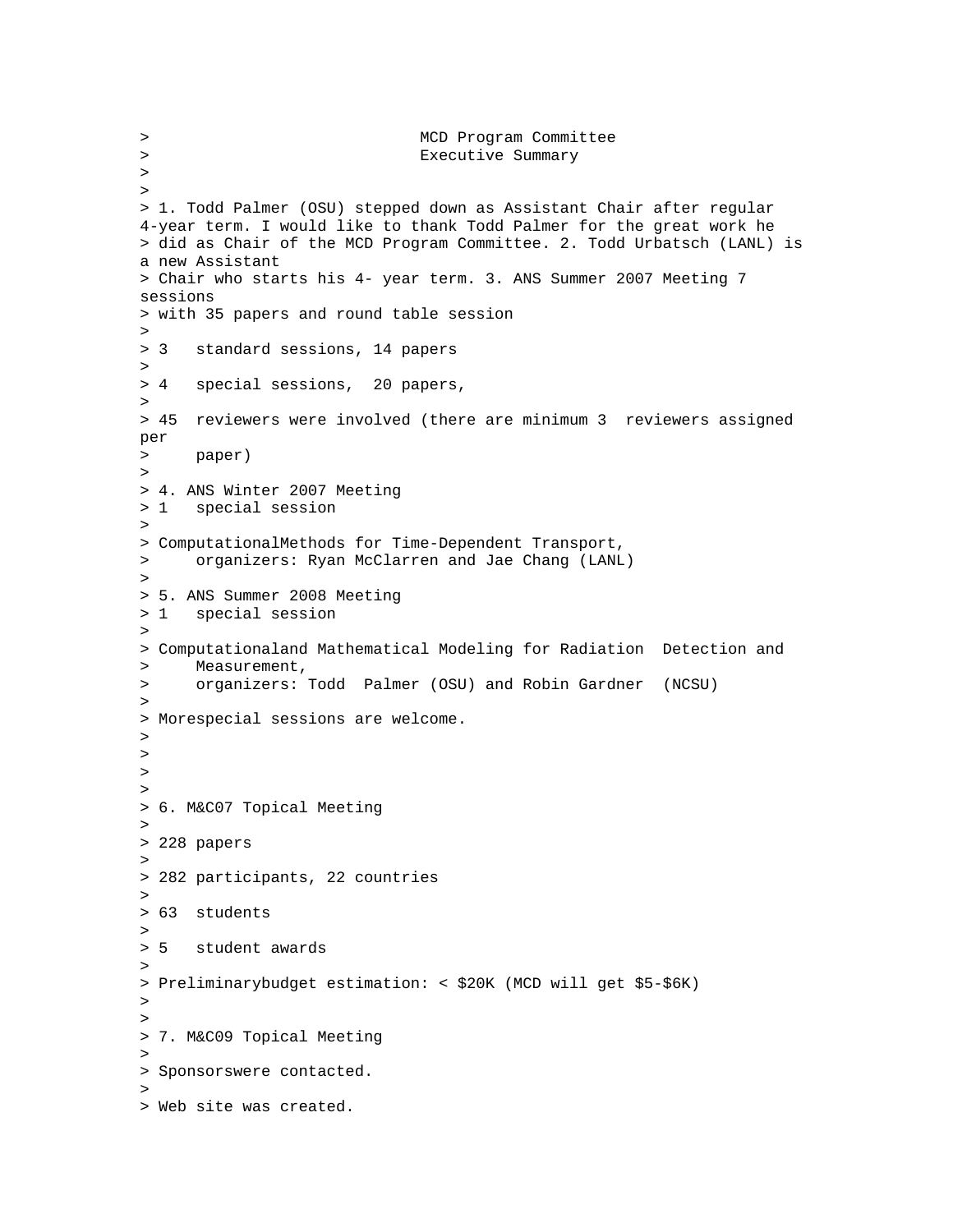> MCD Program Committee > Executive Summary > > > 1. Todd Palmer (OSU) stepped down as Assistant Chair after regular 4-year term. I would like to thank Todd Palmer for the great work he > did as Chair of the MCD Program Committee. 2. Todd Urbatsch (LANL) is a new Assistant > Chair who starts his 4- year term. 3. ANS Summer 2007 Meeting 7 sessions > with 35 papers and round table session > > 3 standard sessions, 14 papers  $\rightarrow$ > 4 special sessions, 20 papers, > > 45 reviewers were involved (there are minimum 3 reviewers assigned per > paper)  $\geq$ > 4. ANS Winter 2007 Meeting > 1 special session > > ComputationalMethods for Time-Dependent Transport, > organizers: Ryan McClarren and Jae Chang (LANL) > > 5. ANS Summer 2008 Meeting > 1 special session > > Computationaland Mathematical Modeling for Radiation Detection and > Measurement, > organizers: Todd Palmer (OSU) and Robin Gardner (NCSU) > > Morespecial sessions are welcome. >  $\,>$ > > > 6. M&C07 Topical Meeting > > 228 papers  $>$ > 282 participants, 22 countries  $\rightarrow$ > 63 students > > 5 student awards > > Preliminarybudget estimation: < \$20K (MCD will get \$5-\$6K) > > > 7. M&C09 Topical Meeting > > Sponsorswere contacted.  $>$ > Web site was created.